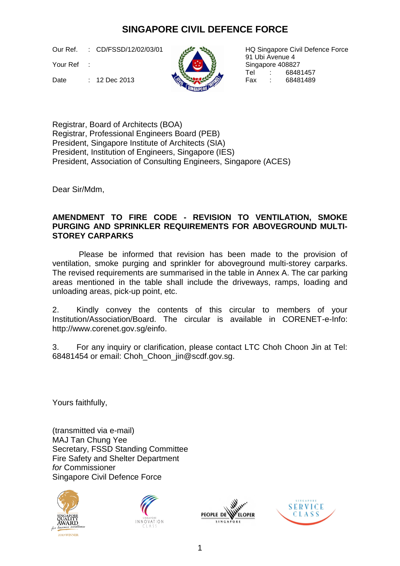## **SINGAPORE CIVIL DEFENCE FORCE**

Our Ref. : CD/FSSD/12/02/03/01

Your Ref :

Date : 12 Dec 2013



HQ Singapore Civil Defence Force 91 Ubi Avenue 4 Singapore 408827 Tel : 68481457<br>Fax : 68481489

Registrar, Board of Architects (BOA) Registrar, Professional Engineers Board (PEB) President, Singapore Institute of Architects (SIA) President, Institution of Engineers, Singapore (IES) President, Association of Consulting Engineers, Singapore (ACES)

Dear Sir/Mdm,

## **AMENDMENT TO FIRE CODE - REVISION TO VENTILATION, SMOKE PURGING AND SPRINKLER REQUIREMENTS FOR ABOVEGROUND MULTI-STOREY CARPARKS**

Please be informed that revision has been made to the provision of ventilation, smoke purging and sprinkler for aboveground multi-storey carparks. The revised requirements are summarised in the table in Annex A. The car parking areas mentioned in the table shall include the driveways, ramps, loading and unloading areas, pick-up point, etc.

2. Kindly convey the contents of this circular to members of your Institution/Association/Board. The circular is available in CORENET-e-Info: http://www.corenet.gov.sg/einfo.

3. For any inquiry or clarification, please contact LTC Choh Choon Jin at Tel: 68481454 or email: Choh\_Choon\_jin@scdf.gov.sg.

Yours faithfully,

(transmitted via e-mail) MAJ Tan Chung Yee Secretary, FSSD Standing Committee Fire Safety and Shelter Department *for* Commissioner Singapore Civil Defence Force







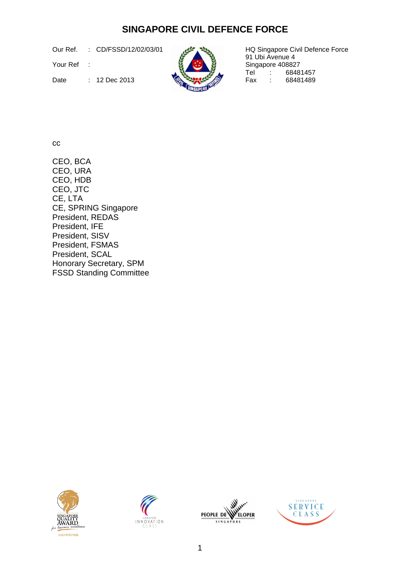## **SINGAPORE CIVIL DEFENCE FORCE**

Our Ref. : CD/FSSD/12/02/03/01

Your Ref :



HQ Singapore Civil Defence Force 91 Ubi Avenue 4 Singapore 408827<br>Tel : 6848 Tel : 68481457<br>Fax : 68481489

Date :  $12 \text{ Dec } 2013$   $\left(\frac{1}{2}\right)$  Fax :

cc

CEO, BCA CEO, URA CEO, HDB CEO, JTC CE, LTA CE, SPRING Singapore President, REDAS President, IFE President, SISV President, FSMAS President, SCAL Honorary Secretary, SPM FSSD Standing Committee